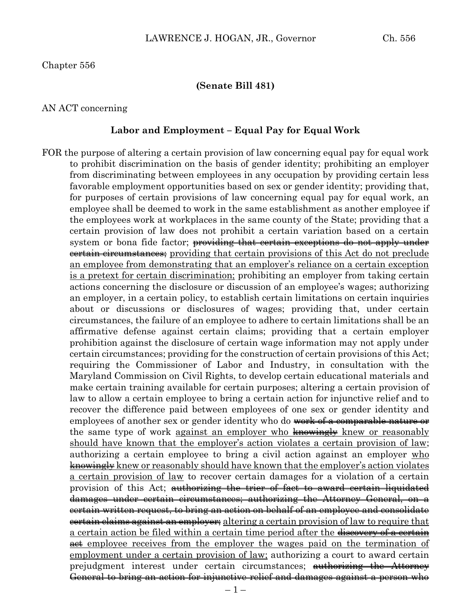#### **(Senate Bill 481)**

#### AN ACT concerning

#### **Labor and Employment – Equal Pay for Equal Work**

FOR the purpose of altering a certain provision of law concerning equal pay for equal work to prohibit discrimination on the basis of gender identity; prohibiting an employer from discriminating between employees in any occupation by providing certain less favorable employment opportunities based on sex or gender identity; providing that, for purposes of certain provisions of law concerning equal pay for equal work, an employee shall be deemed to work in the same establishment as another employee if the employees work at workplaces in the same county of the State; providing that a certain provision of law does not prohibit a certain variation based on a certain system or bona fide factor; providing that certain exceptions do not apply under **certain circumstances**; providing that certain provisions of this Act do not preclude an employee from demonstrating that an employer's reliance on a certain exception is a pretext for certain discrimination; prohibiting an employer from taking certain actions concerning the disclosure or discussion of an employee's wages; authorizing an employer, in a certain policy, to establish certain limitations on certain inquiries about or discussions or disclosures of wages; providing that, under certain circumstances, the failure of an employee to adhere to certain limitations shall be an affirmative defense against certain claims; providing that a certain employer prohibition against the disclosure of certain wage information may not apply under certain circumstances; providing for the construction of certain provisions of this Act; requiring the Commissioner of Labor and Industry, in consultation with the Maryland Commission on Civil Rights, to develop certain educational materials and make certain training available for certain purposes; altering a certain provision of law to allow a certain employee to bring a certain action for injunctive relief and to recover the difference paid between employees of one sex or gender identity and employees of another sex or gender identity who do work of a comparable nature or the same type of work against an employer who **knowingly** knew or reasonably should have known that the employer's action violates a certain provision of law; authorizing a certain employee to bring a civil action against an employer who knowingly knew or reasonably should have known that the employer's action violates a certain provision of law to recover certain damages for a violation of a certain provision of this Act; authorizing the trier of fact to award certain liquidated damages under certain circumstances; authorizing the Attorney General, on a certain written request, to bring an action on behalf of an employee and consolidate certain claims against an employer; altering a certain provision of law to require that a certain action be filed within a certain time period after the discovery of a certain act employee receives from the employer the wages paid on the termination of employment under a certain provision of law; authorizing a court to award certain prejudgment interest under certain circumstances; authorizing the Attorney General to bring an action for injunctive relief and damages against a person who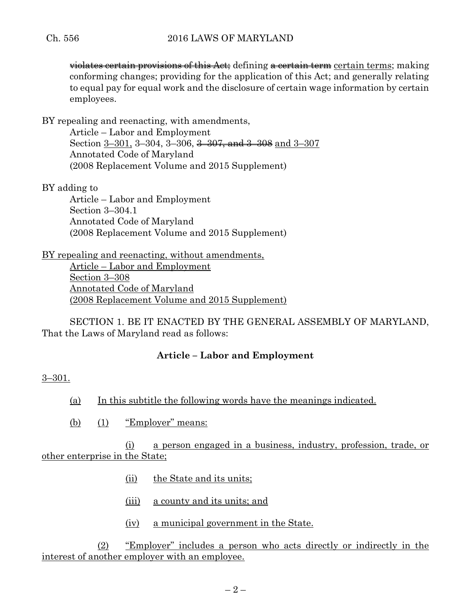violates certain provisions of this Act; defining a certain term certain terms; making conforming changes; providing for the application of this Act; and generally relating to equal pay for equal work and the disclosure of certain wage information by certain employees.

BY repealing and reenacting, with amendments,

Article – Labor and Employment Section 3–301, 3–304, 3–306, <del>3–307, and 3–308</del> and 3–307 Annotated Code of Maryland (2008 Replacement Volume and 2015 Supplement)

BY adding to

Article – Labor and Employment Section 3–304.1 Annotated Code of Maryland (2008 Replacement Volume and 2015 Supplement)

BY repealing and reenacting, without amendments, Article – Labor and Employment Section 3–308 Annotated Code of Maryland (2008 Replacement Volume and 2015 Supplement)

SECTION 1. BE IT ENACTED BY THE GENERAL ASSEMBLY OF MARYLAND, That the Laws of Maryland read as follows:

### **Article – Labor and Employment**

### 3–301.

- (a) In this subtitle the following words have the meanings indicated.
- (b) (1) "Employer" means:

(i) a person engaged in a business, industry, profession, trade, or other enterprise in the State;

- (ii) the State and its units;
- (iii) a county and its units; and
- (iv) a municipal government in the State.

(2) "Employer" includes a person who acts directly or indirectly in the interest of another employer with an employee.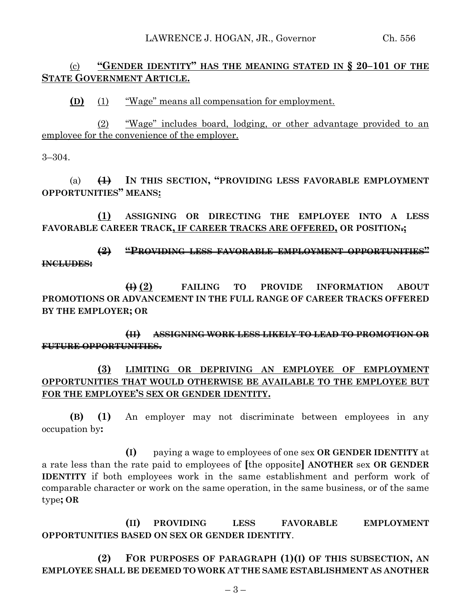## (c) **"GENDER IDENTITY" HAS THE MEANING STATED IN § 20–101 OF THE STATE GOVERNMENT ARTICLE.**

**(D)** (1) "Wage" means all compensation for employment.

(2) "Wage" includes board, lodging, or other advantage provided to an employee for the convenience of the employer.

3–304.

(a) **(1) IN THIS SECTION, "PROVIDING LESS FAVORABLE EMPLOYMENT OPPORTUNITIES" MEANS:**

**(1) ASSIGNING OR DIRECTING THE EMPLOYEE INTO A LESS FAVORABLE CAREER TRACK, IF CAREER TRACKS ARE OFFERED, OR POSITION.;**

**(2) "PROVIDING LESS FAVORABLE EMPLOYMENT OPPORTUNITIES" INCLUDES:**

**(I) (2) FAILING TO PROVIDE INFORMATION ABOUT PROMOTIONS OR ADVANCEMENT IN THE FULL RANGE OF CAREER TRACKS OFFERED BY THE EMPLOYER; OR**

**(II) ASSIGNING WORK LESS LIKELY TO LEAD TO PROMOTION OR FUTURE OPPORTUNITIES.**

# **(3) LIMITING OR DEPRIVING AN EMPLOYEE OF EMPLOYMENT OPPORTUNITIES THAT WOULD OTHERWISE BE AVAILABLE TO THE EMPLOYEE BUT FOR THE EMPLOYEE'S SEX OR GENDER IDENTITY.**

**(B) (1)** An employer may not discriminate between employees in any occupation by**:**

**(I)** paying a wage to employees of one sex **OR GENDER IDENTITY** at a rate less than the rate paid to employees of **[**the opposite**] ANOTHER** sex **OR GENDER IDENTITY** if both employees work in the same establishment and perform work of comparable character or work on the same operation, in the same business, or of the same type**; OR**

**(II) PROVIDING LESS FAVORABLE EMPLOYMENT OPPORTUNITIES BASED ON SEX OR GENDER IDENTITY**.

**(2) FOR PURPOSES OF PARAGRAPH (1)(I) OF THIS SUBSECTION, AN EMPLOYEE SHALL BE DEEMED TO WORK AT THE SAME ESTABLISHMENT AS ANOTHER**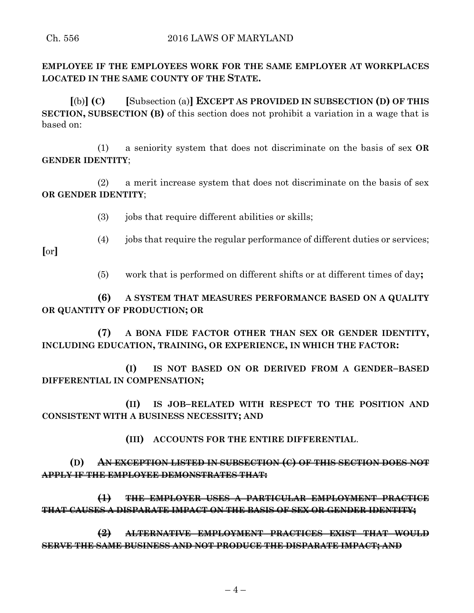**EMPLOYEE IF THE EMPLOYEES WORK FOR THE SAME EMPLOYER AT WORKPLACES LOCATED IN THE SAME COUNTY OF THE STATE.**

**[**(b)**] (C) [**Subsection (a)**] EXCEPT AS PROVIDED IN SUBSECTION (D) OF THIS SECTION, SUBSECTION (B)** of this section does not prohibit a variation in a wage that is based on:

(1) a seniority system that does not discriminate on the basis of sex **OR GENDER IDENTITY**;

(2) a merit increase system that does not discriminate on the basis of sex **OR GENDER IDENTITY**;

(3) jobs that require different abilities or skills;

(4) jobs that require the regular performance of different duties or services;

**[**or**]**

(5) work that is performed on different shifts or at different times of day**;**

**(6) A SYSTEM THAT MEASURES PERFORMANCE BASED ON A QUALITY OR QUANTITY OF PRODUCTION; OR**

**(7) A BONA FIDE FACTOR OTHER THAN SEX OR GENDER IDENTITY, INCLUDING EDUCATION, TRAINING, OR EXPERIENCE, IN WHICH THE FACTOR:**

**(I) IS NOT BASED ON OR DERIVED FROM A GENDER–BASED DIFFERENTIAL IN COMPENSATION;**

**(II) IS JOB–RELATED WITH RESPECT TO THE POSITION AND CONSISTENT WITH A BUSINESS NECESSITY; AND** 

**(III) ACCOUNTS FOR THE ENTIRE DIFFERENTIAL**.

**(D) AN EXCEPTION LISTED IN SUBSECTION (C) OF THIS SECTION DOES NOT APPLY IF THE EMPLOYEE DEMONSTRATES THAT:**

**(1) THE EMPLOYER USES A PARTICULAR EMPLOYMENT PRACTICE THAT CAUSES A DISPARATE IMPACT ON THE BASIS OF SEX OR GENDER IDENTITY;**

**(2) ALTERNATIVE EMPLOYMENT PRACTICES EXIST THAT WOULD SERVE THE SAME BUSINESS AND NOT PRODUCE THE DISPARATE IMPACT; AND**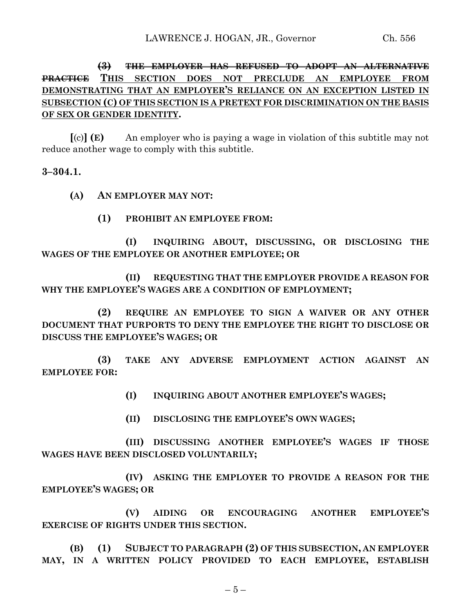**(3) THE EMPLOYER HAS REFUSED TO ADOPT AN ALTERNATIVE PRACTICE THIS SECTION DOES NOT PRECLUDE AN EMPLOYEE FROM DEMONSTRATING THAT AN EMPLOYER'S RELIANCE ON AN EXCEPTION LISTED IN SUBSECTION (C) OF THIS SECTION IS A PRETEXT FOR DISCRIMINATION ON THE BASIS OF SEX OR GENDER IDENTITY.**

**[**(c)**] (E)** An employer who is paying a wage in violation of this subtitle may not reduce another wage to comply with this subtitle.

**3–304.1.**

- **(A) AN EMPLOYER MAY NOT:**
	- **(1) PROHIBIT AN EMPLOYEE FROM:**

**(I) INQUIRING ABOUT, DISCUSSING, OR DISCLOSING THE WAGES OF THE EMPLOYEE OR ANOTHER EMPLOYEE; OR**

**(II) REQUESTING THAT THE EMPLOYER PROVIDE A REASON FOR WHY THE EMPLOYEE'S WAGES ARE A CONDITION OF EMPLOYMENT;**

**(2) REQUIRE AN EMPLOYEE TO SIGN A WAIVER OR ANY OTHER DOCUMENT THAT PURPORTS TO DENY THE EMPLOYEE THE RIGHT TO DISCLOSE OR DISCUSS THE EMPLOYEE'S WAGES; OR**

**(3) TAKE ANY ADVERSE EMPLOYMENT ACTION AGAINST AN EMPLOYEE FOR:**

**(I) INQUIRING ABOUT ANOTHER EMPLOYEE'S WAGES;**

**(II) DISCLOSING THE EMPLOYEE'S OWN WAGES;**

**(III) DISCUSSING ANOTHER EMPLOYEE'S WAGES IF THOSE WAGES HAVE BEEN DISCLOSED VOLUNTARILY;**

**(IV) ASKING THE EMPLOYER TO PROVIDE A REASON FOR THE EMPLOYEE'S WAGES; OR**

**(V) AIDING OR ENCOURAGING ANOTHER EMPLOYEE'S EXERCISE OF RIGHTS UNDER THIS SECTION.**

**(B) (1) SUBJECT TO PARAGRAPH (2) OF THIS SUBSECTION, AN EMPLOYER MAY, IN A WRITTEN POLICY PROVIDED TO EACH EMPLOYEE, ESTABLISH**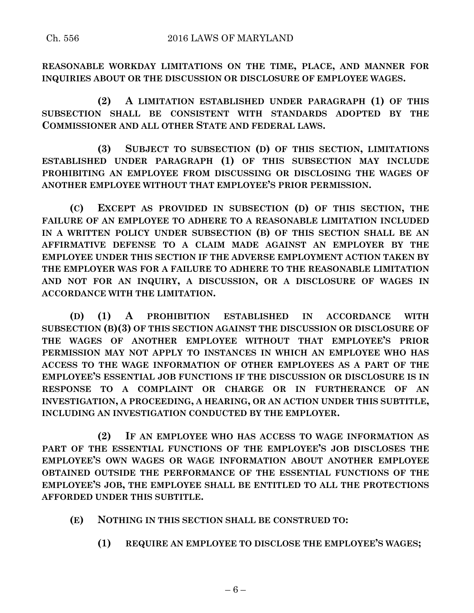**REASONABLE WORKDAY LIMITATIONS ON THE TIME, PLACE, AND MANNER FOR INQUIRIES ABOUT OR THE DISCUSSION OR DISCLOSURE OF EMPLOYEE WAGES.**

**(2) A LIMITATION ESTABLISHED UNDER PARAGRAPH (1) OF THIS SUBSECTION SHALL BE CONSISTENT WITH STANDARDS ADOPTED BY THE COMMISSIONER AND ALL OTHER STATE AND FEDERAL LAWS.**

**(3) SUBJECT TO SUBSECTION (D) OF THIS SECTION, LIMITATIONS ESTABLISHED UNDER PARAGRAPH (1) OF THIS SUBSECTION MAY INCLUDE PROHIBITING AN EMPLOYEE FROM DISCUSSING OR DISCLOSING THE WAGES OF ANOTHER EMPLOYEE WITHOUT THAT EMPLOYEE'S PRIOR PERMISSION.**

**(C) EXCEPT AS PROVIDED IN SUBSECTION (D) OF THIS SECTION, THE FAILURE OF AN EMPLOYEE TO ADHERE TO A REASONABLE LIMITATION INCLUDED IN A WRITTEN POLICY UNDER SUBSECTION (B) OF THIS SECTION SHALL BE AN AFFIRMATIVE DEFENSE TO A CLAIM MADE AGAINST AN EMPLOYER BY THE EMPLOYEE UNDER THIS SECTION IF THE ADVERSE EMPLOYMENT ACTION TAKEN BY THE EMPLOYER WAS FOR A FAILURE TO ADHERE TO THE REASONABLE LIMITATION AND NOT FOR AN INQUIRY, A DISCUSSION, OR A DISCLOSURE OF WAGES IN ACCORDANCE WITH THE LIMITATION.**

**(D) (1) A PROHIBITION ESTABLISHED IN ACCORDANCE WITH SUBSECTION (B)(3) OF THIS SECTION AGAINST THE DISCUSSION OR DISCLOSURE OF THE WAGES OF ANOTHER EMPLOYEE WITHOUT THAT EMPLOYEE'S PRIOR PERMISSION MAY NOT APPLY TO INSTANCES IN WHICH AN EMPLOYEE WHO HAS ACCESS TO THE WAGE INFORMATION OF OTHER EMPLOYEES AS A PART OF THE EMPLOYEE'S ESSENTIAL JOB FUNCTIONS IF THE DISCUSSION OR DISCLOSURE IS IN RESPONSE TO A COMPLAINT OR CHARGE OR IN FURTHERANCE OF AN INVESTIGATION, A PROCEEDING, A HEARING, OR AN ACTION UNDER THIS SUBTITLE, INCLUDING AN INVESTIGATION CONDUCTED BY THE EMPLOYER.**

**(2) IF AN EMPLOYEE WHO HAS ACCESS TO WAGE INFORMATION AS PART OF THE ESSENTIAL FUNCTIONS OF THE EMPLOYEE'S JOB DISCLOSES THE EMPLOYEE'S OWN WAGES OR WAGE INFORMATION ABOUT ANOTHER EMPLOYEE OBTAINED OUTSIDE THE PERFORMANCE OF THE ESSENTIAL FUNCTIONS OF THE EMPLOYEE'S JOB, THE EMPLOYEE SHALL BE ENTITLED TO ALL THE PROTECTIONS AFFORDED UNDER THIS SUBTITLE.**

- **(E) NOTHING IN THIS SECTION SHALL BE CONSTRUED TO:**
	- **(1) REQUIRE AN EMPLOYEE TO DISCLOSE THE EMPLOYEE'S WAGES;**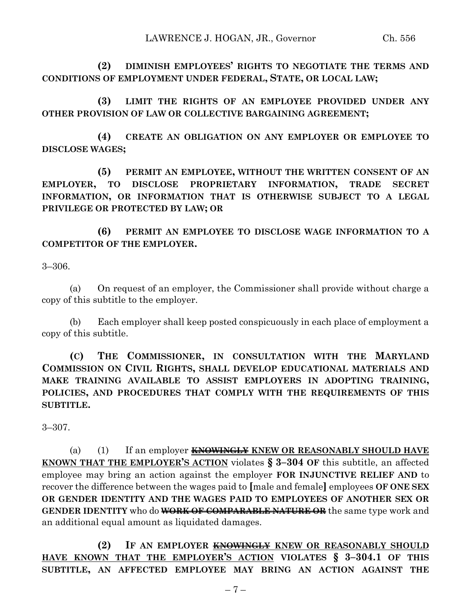**(2) DIMINISH EMPLOYEES' RIGHTS TO NEGOTIATE THE TERMS AND CONDITIONS OF EMPLOYMENT UNDER FEDERAL, STATE, OR LOCAL LAW;**

**(3) LIMIT THE RIGHTS OF AN EMPLOYEE PROVIDED UNDER ANY OTHER PROVISION OF LAW OR COLLECTIVE BARGAINING AGREEMENT;**

**(4) CREATE AN OBLIGATION ON ANY EMPLOYER OR EMPLOYEE TO DISCLOSE WAGES;**

**(5) PERMIT AN EMPLOYEE, WITHOUT THE WRITTEN CONSENT OF AN EMPLOYER, TO DISCLOSE PROPRIETARY INFORMATION, TRADE SECRET INFORMATION, OR INFORMATION THAT IS OTHERWISE SUBJECT TO A LEGAL PRIVILEGE OR PROTECTED BY LAW; OR**

**(6) PERMIT AN EMPLOYEE TO DISCLOSE WAGE INFORMATION TO A COMPETITOR OF THE EMPLOYER.**

3–306.

(a) On request of an employer, the Commissioner shall provide without charge a copy of this subtitle to the employer.

(b) Each employer shall keep posted conspicuously in each place of employment a copy of this subtitle.

**(C) THE COMMISSIONER, IN CONSULTATION WITH THE MARYLAND COMMISSION ON CIVIL RIGHTS, SHALL DEVELOP EDUCATIONAL MATERIALS AND MAKE TRAINING AVAILABLE TO ASSIST EMPLOYERS IN ADOPTING TRAINING, POLICIES, AND PROCEDURES THAT COMPLY WITH THE REQUIREMENTS OF THIS SUBTITLE.**

3–307.

(a) (1) If an employer **KNOWINGLY KNEW OR REASONABLY SHOULD HAVE KNOWN THAT THE EMPLOYER'S ACTION** violates **§ 3–304 OF** this subtitle, an affected employee may bring an action against the employer **FOR INJUNCTIVE RELIEF AND** to recover the difference between the wages paid to **[**male and female**]** employees **OF ONE SEX OR GENDER IDENTITY AND THE WAGES PAID TO EMPLOYEES OF ANOTHER SEX OR GENDER IDENTITY** who do **WORK OF COMPARABLE NATURE OR** the same type work and an additional equal amount as liquidated damages.

**(2) IF AN EMPLOYER KNOWINGLY KNEW OR REASONABLY SHOULD HAVE KNOWN THAT THE EMPLOYER'S ACTION VIOLATES § 3–304.1 OF THIS SUBTITLE, AN AFFECTED EMPLOYEE MAY BRING AN ACTION AGAINST THE**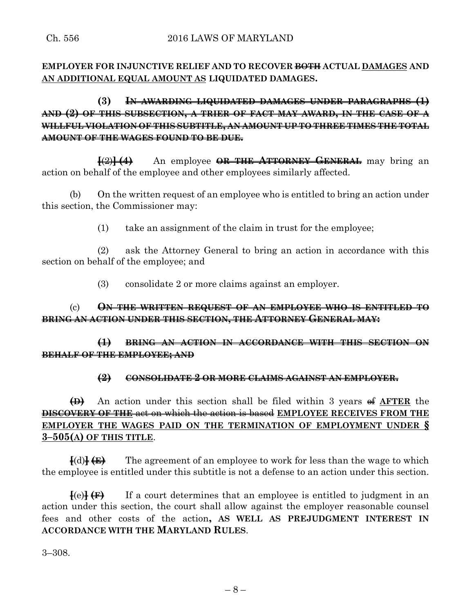**EMPLOYER FOR INJUNCTIVE RELIEF AND TO RECOVER BOTH ACTUAL DAMAGES AND AN ADDITIONAL EQUAL AMOUNT AS LIQUIDATED DAMAGES.**

# **(3) IN AWARDING LIQUIDATED DAMAGES UNDER PARAGRAPHS (1) AND (2) OF THIS SUBSECTION, A TRIER OF FACT MAY AWARD, IN THE CASE OF A WILLFUL VIOLATION OF THIS SUBTITLE, AN AMOUNT UP TO THREE TIMES THE TOTAL AMOUNT OF THE WAGES FOUND TO BE DUE.**

**[**(2)**] (4)** An employee **OR THE ATTORNEY GENERAL** may bring an action on behalf of the employee and other employees similarly affected.

(b) On the written request of an employee who is entitled to bring an action under this section, the Commissioner may:

(1) take an assignment of the claim in trust for the employee;

(2) ask the Attorney General to bring an action in accordance with this section on behalf of the employee; and

(3) consolidate 2 or more claims against an employer.

### (c) **ON THE WRITTEN REQUEST OF AN EMPLOYEE WHO IS ENTITLED TO BRING AN ACTION UNDER THIS SECTION, THE ATTORNEY GENERAL MAY:**

## **(1) BRING AN ACTION IN ACCORDANCE WITH THIS SECTION ON BEHALF OF THE EMPLOYEE; AND**

### **(2) CONSOLIDATE 2 OR MORE CLAIMS AGAINST AN EMPLOYER.**

**(D)** An action under this section shall be filed within 3 years of **AFTER** the **DISCOVERY OF THE** act on which the action is based **EMPLOYEE RECEIVES FROM THE EMPLOYER THE WAGES PAID ON THE TERMINATION OF EMPLOYMENT UNDER § 3–505(A) OF THIS TITLE**.

**[**(d)**] (E)** The agreement of an employee to work for less than the wage to which the employee is entitled under this subtitle is not a defense to an action under this section.

**[**(e)**] (F)** If a court determines that an employee is entitled to judgment in an action under this section, the court shall allow against the employer reasonable counsel fees and other costs of the action**, AS WELL AS PREJUDGMENT INTEREST IN ACCORDANCE WITH THE MARYLAND RULES**.

3–308.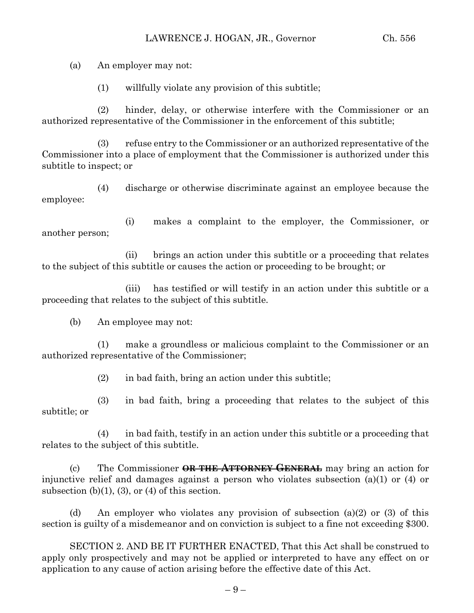(a) An employer may not:

(1) willfully violate any provision of this subtitle;

(2) hinder, delay, or otherwise interfere with the Commissioner or an authorized representative of the Commissioner in the enforcement of this subtitle;

(3) refuse entry to the Commissioner or an authorized representative of the Commissioner into a place of employment that the Commissioner is authorized under this subtitle to inspect; or

(4) discharge or otherwise discriminate against an employee because the employee:

(i) makes a complaint to the employer, the Commissioner, or another person;

(ii) brings an action under this subtitle or a proceeding that relates to the subject of this subtitle or causes the action or proceeding to be brought; or

(iii) has testified or will testify in an action under this subtitle or a proceeding that relates to the subject of this subtitle.

(b) An employee may not:

(1) make a groundless or malicious complaint to the Commissioner or an authorized representative of the Commissioner;

(2) in bad faith, bring an action under this subtitle;

(3) in bad faith, bring a proceeding that relates to the subject of this subtitle; or

(4) in bad faith, testify in an action under this subtitle or a proceeding that relates to the subject of this subtitle.

(c) The Commissioner **OR THE ATTORNEY GENERAL** may bring an action for injunctive relief and damages against a person who violates subsection (a)(1) or (4) or subsection  $(b)(1)$ ,  $(3)$ , or  $(4)$  of this section.

(d) An employer who violates any provision of subsection (a)(2) or (3) of this section is guilty of a misdemeanor and on conviction is subject to a fine not exceeding \$300.

SECTION 2. AND BE IT FURTHER ENACTED, That this Act shall be construed to apply only prospectively and may not be applied or interpreted to have any effect on or application to any cause of action arising before the effective date of this Act.